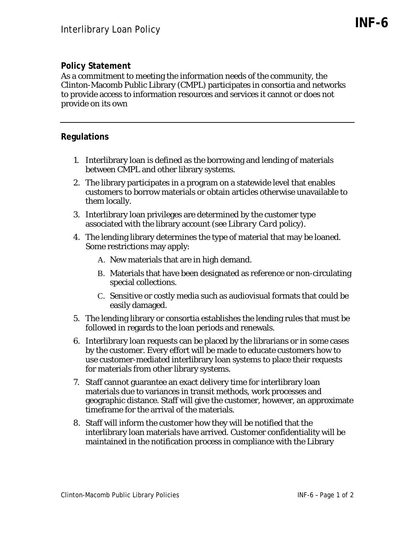## **Policy Statement**

As a commitment to meeting the information needs of the community, the Clinton-Macomb Public Library (CMPL) participates in consortia and networks to provide access to information resources and services it cannot or does not provide on its own

## **Regulations**

- 1. Interlibrary loan is defined as the borrowing and lending of materials between CMPL and other library systems.
- 2. The library participates in a program on a statewide level that enables customers to borrow materials or obtain articles otherwise unavailable to them locally.
- 3. Interlibrary loan privileges are determined by the customer type associated with the library account (see *Library Card* policy).
- 4. The lending library determines the type of material that may be loaned. Some restrictions may apply:
	- A. New materials that are in high demand.
	- B. Materials that have been designated as reference or non-circulating special collections.
	- C. Sensitive or costly media such as audiovisual formats that could be easily damaged.
- 5. The lending library or consortia establishes the lending rules that must be followed in regards to the loan periods and renewals.
- 6. Interlibrary loan requests can be placed by the librarians or in some cases by the customer. Every effort will be made to educate customers how to use customer-mediated interlibrary loan systems to place their requests for materials from other library systems.
- 7. Staff cannot guarantee an exact delivery time for interlibrary loan materials due to variances in transit methods, work processes and geographic distance. Staff will give the customer, however, an approximate timeframe for the arrival of the materials.
- 8. Staff will inform the customer how they will be notified that the interlibrary loan materials have arrived. Customer confidentiality will be maintained in the notification process in compliance with the Library